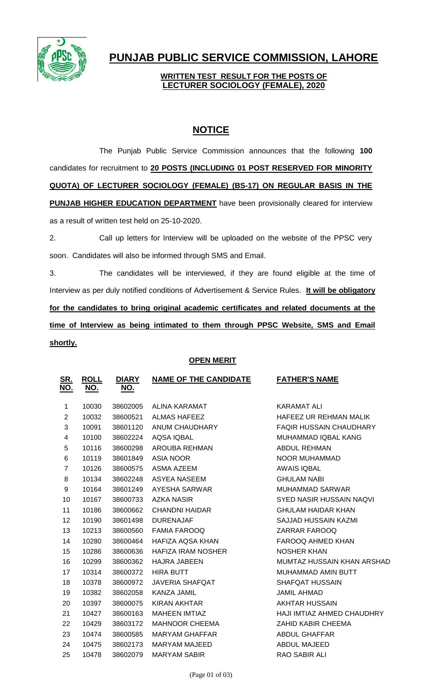

# **PUNJAB PUBLIC SERVICE COMMISSION, LAHORE**

### **WRITTEN TEST RESULT FOR THE POSTS OF LECTURER SOCIOLOGY (FEMALE), 2020**

## **NOTICE**

The Punjab Public Service Commission announces that the following **100** candidates for recruitment to **20 POSTS (INCLUDING 01 POST RESERVED FOR MINORITY QUOTA) OF LECTURER SOCIOLOGY (FEMALE) (BS-17) ON REGULAR BASIS IN THE PUNJAB HIGHER EDUCATION DEPARTMENT** have been provisionally cleared for interview as a result of written test held on 25-10-2020.

2. Call up letters for Interview will be uploaded on the website of the PPSC very soon. Candidates will also be informed through SMS and Email.

3. The candidates will be interviewed, if they are found eligible at the time of Interview as per duly notified conditions of Advertisement & Service Rules. **It will be obligatory for the candidates to bring original academic certificates and related documents at the time of Interview as being intimated to them through PPSC Website, SMS and Email shortly.**

### **OPEN MERIT**

| <u>SR.</u><br><u>NO.</u> | <b>ROLL</b><br><u>NO.</u> | <b>DIARY</b><br><u>NO.</u> | <b>NAME OF THE CANDIDATE</b> | <b>FATHER'S NAME</b>            |
|--------------------------|---------------------------|----------------------------|------------------------------|---------------------------------|
| 1                        | 10030                     | 38602005                   | ALINA KARAMAT                | <b>KARAMAT ALI</b>              |
| 2                        | 10032                     | 38600521                   | <b>ALMAS HAFEEZ</b>          | HAFEEZ UR REHMAN MALIK          |
| 3                        | 10091                     | 38601120                   | ANUM CHAUDHARY               | <b>FAQIR HUSSAIN CHAUDHARY</b>  |
| 4                        | 10100                     | 38602224                   | <b>AQSA IQBAL</b>            | MUHAMMAD IQBAL KANG             |
| 5                        | 10116                     | 38600298                   | <b>AROUBA REHMAN</b>         | <b>ABDUL REHMAN</b>             |
| 6                        | 10119                     | 38601849                   | ASIA NOOR                    | NOOR MUHAMMAD                   |
| 7                        | 10126                     | 38600575                   | ASMA AZEEM                   | <b>AWAIS IQBAL</b>              |
| 8                        | 10134                     | 38602248                   | ASYEA NASEEM                 | <b>GHULAM NABI</b>              |
| 9                        | 10164                     | 38601249                   | AYESHA SARWAR                | <b>MUHAMMAD SARWAR</b>          |
| 10                       | 10167                     | 38600733                   | <b>AZKA NASIR</b>            | <b>SYED NASIR HUSSAIN NAQVI</b> |
| 11                       | 10186                     | 38600662                   | CHANDNI HAIDAR               | <b>GHULAM HAIDAR KHAN</b>       |
| 12                       | 10190                     | 38601498                   | <b>DURENAJAF</b>             | SAJJAD HUSSAIN KAZMI            |
| 13                       | 10213                     | 38600560                   | <b>FAMIA FAROOQ</b>          | ZARRAR FAROOQ                   |
| 14                       | 10280                     | 38600464                   | HAFIZA AQSA KHAN             | FAROOQ AHMED KHAN               |
| 15                       | 10286                     | 38600636                   | <b>HAFIZA IRAM NOSHER</b>    | <b>NOSHER KHAN</b>              |
| 16                       | 10299                     | 38600362                   | <b>HAJRA JABEEN</b>          | MUMTAZ HUSSAIN KHAN ARSHAD      |
| 17                       | 10314                     | 38600372                   | <b>HIRA BUTT</b>             | <b>MUHAMMAD AMIN BUTT</b>       |
| 18                       | 10378                     | 38600972                   | <b>JAVERIA SHAFQAT</b>       | <b>SHAFQAT HUSSAIN</b>          |
| 19                       | 10382                     | 38602058                   | <b>KANZA JAMIL</b>           | <b>JAMIL AHMAD</b>              |
| 20                       | 10397                     | 38600075                   | <b>KIRAN AKHTAR</b>          | <b>AKHTAR HUSSAIN</b>           |
| 21                       | 10427                     | 38600163                   | <b>MAHEEN IMTIAZ</b>         | HAJI IMTIAZ AHMED CHAUDHRY      |
| 22                       | 10429                     | 38603172                   | <b>MAHNOOR CHEEMA</b>        | ZAHID KABIR CHEEMA              |
| 23                       | 10474                     | 38600585                   | <b>MARYAM GHAFFAR</b>        | ABDUL GHAFFAR                   |
| 24                       | 10475                     | 38602173                   | <b>MARYAM MAJEED</b>         | <b>ABDUL MAJEED</b>             |
| 25                       | 10478                     | 38602079                   | <b>MARYAM SABIR</b>          | <b>RAO SABIR ALI</b>            |
|                          |                           |                            |                              |                                 |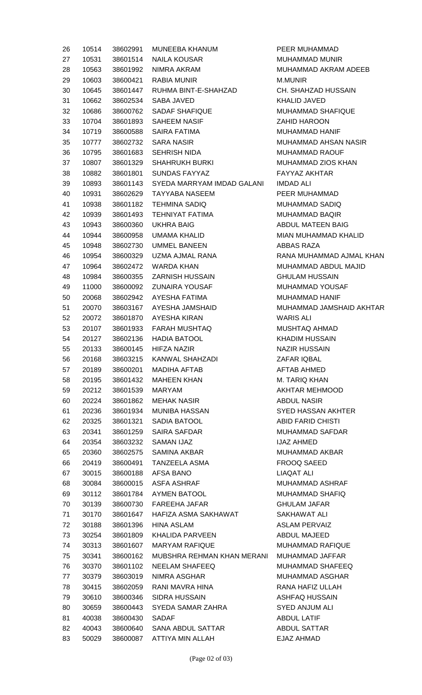| 26 | 10514 | 38602991 | <b>MUNEEBA KHANUM</b>               |
|----|-------|----------|-------------------------------------|
| 27 | 10531 | 38601514 | <b>NAILA KOUSAR</b>                 |
| 28 | 10563 | 38601992 | NIMRA AKRAM                         |
| 29 | 10603 |          | 38600421 RABIA MUNIR                |
| 30 | 10645 |          | 38601447 RUHMA BINT-E-SHAHZAD       |
| 31 | 10662 | 38602534 | SABA JAVED                          |
| 32 | 10686 | 38600762 | <b>SADAF SHAFIQUE</b>               |
| 33 | 10704 |          | 38601893 SAHEEM NASIF               |
| 34 | 10719 | 38600588 | SAIRA FATIMA                        |
| 35 | 10777 |          | 38602732 SARA NASIR                 |
| 36 | 10795 | 38601683 | <b>SEHRISH NIDA</b>                 |
| 37 | 10807 |          | 38601329 SHAHRUKH BURKI             |
| 38 | 10882 | 38601801 | <b>SUNDAS FAYYAZ</b>                |
| 39 | 10893 |          | 38601143 SYEDA MARRYAM IMDAD GALANI |
| 40 | 10931 |          | 38602629 TAYYABA NASEEM             |
| 41 | 10938 |          | 38601182 TEHMINA SADIQ              |
| 42 | 10939 |          | 38601493 TEHNIYAT FATIMA            |
| 43 | 10943 |          | 38600360 UKHRA BAIG                 |
| 44 | 10944 |          | 38600958 UMAMA KHALID               |
| 45 | 10948 |          | 38602730 UMMEL BANEEN               |
| 46 | 10954 |          | 38600329 UZMA AJMAL RANA            |
| 47 | 10964 |          | 38602472 WARDA KHAN                 |
| 48 | 10984 |          | 38600355 ZARNISH HUSSAIN            |
| 49 | 11000 |          |                                     |
|    |       |          | 38600092 ZUNAIRA YOUSAF             |
| 50 | 20068 |          | 38602942 AYESHA FATIMA              |
| 51 | 20070 |          | 38603167 AYESHA JAMSHAID            |
| 52 | 20072 |          | 38601870 AYESHA KIRAN               |
| 53 | 20107 |          | 38601933 FARAH MUSHTAQ              |
| 54 | 20127 |          | 38602136 HADIA BATOOL               |
| 55 | 20133 | 38600145 | HIFZA NAZIR                         |
| 56 | 20168 | 38603215 | KANWAL SHAHZADI                     |
| 57 | 20189 | 38600201 | <b>MADIHA AFTAB</b>                 |
| 58 | 20195 | 38601432 | <b>MAHEEN KHAN</b>                  |
| 59 | 20212 | 38601539 | MARYAM                              |
| 60 | 20224 | 38601862 | <b>MEHAK NASIR</b>                  |
| 61 | 20236 | 38601934 | <b>MUNIBA HASSAN</b>                |
| 62 | 20325 | 38601321 | SADIA BATOOL                        |
| 63 | 20341 | 38601259 | <b>SAIRA SAFDAR</b>                 |
| 64 | 20354 | 38603232 | SAMAN IJAZ                          |
| 65 | 20360 | 38602575 | SAMINA AKBAR                        |
| 66 | 20419 | 38600491 | TANZEELA ASMA                       |
| 67 | 30015 |          | 38600188 AFSA BANO                  |
| 68 | 30084 |          | 38600015 ASFA ASHRAF                |
| 69 | 30112 |          | 38601784 AYMEN BATOOL               |
| 70 | 30139 |          | 38600730 FAREEHA JAFAR              |
| 71 | 30170 | 38601647 | HAFIZA ASMA SAKHAWAT                |
| 72 | 30188 | 38601396 | HINA ASLAM                          |
| 73 | 30254 | 38601809 | KHALIDA PARVEEN                     |
| 74 | 30313 | 38601607 | <b>MARYAM RAFIQUE</b>               |
| 75 | 30341 | 38600162 | MUBSHRA REHMAN KHAN MERANI          |
| 76 | 30370 | 38601102 | NEELAM SHAFEEQ                      |
| 77 | 30379 | 38603019 | NIMRA ASGHAR                        |
| 78 | 30415 | 38602059 | RANI MAVRA HINA                     |
| 79 | 30610 | 38600346 | SIDRA HUSSAIN                       |
| 80 | 30659 | 38600443 | SYEDA SAMAR ZAHRA                   |
| 81 | 40038 | 38600430 | <b>SADAF</b>                        |
| 82 | 40043 | 38600640 | SANA ABDUL SATTAR                   |
| 83 | 50029 | 38600087 | ATTIYA MIN ALLAH                    |

PEER MUHAMMAD MUHAMMAD MUNIR MUHAMMAD AKRAM ADEEB M.MUNIR CH. SHAHZAD HUSSAIN KHALID JAVED MUHAMMAD SHAFIQUE **ZAHID HAROON** MUHAMMAD HANIF MUHAMMAD AHSAN NASIR MUHAMMAD RAOUF MUHAMMAD ZIOS KHAN FAYYAZ AKHTAR IMDAD ALI PEER MUHAMMAD MUHAMMAD SADIQ MUHAMMAD BAQIR ABDUL MATEEN BAIG MIAN MUHAMMAD KHALID ABBAS RAZA RANA MUHAMMAD AJMAL KHAN MUHAMMAD ABDUL MAJID **GHULAM HUSSAIN** MUHAMMAD YOUSAF MUHAMMAD HANIF MUHAMMAD JAMSHAID AKHTAR WARIS ALI MUSHTAQ AHMAD KHADIM HUSSAIN NAZIR HUSSAIN ZAFAR IQBAL AFTAB AHMED M. TARIQ KHAN AKHTAR MEHMOOD **ABDUL NASIR SYED HASSAN AKHTER** ABID FARID CHISTI MUHAMMAD SAFDAR **IJAZ AHMED** MUHAMMAD AKBAR FROOQ SAEED LIAQAT ALI MUHAMMAD ASHRAF MUHAMMAD SHAFIQ GHULAM JAFAR SAKHAWAT ALI **ASLAM PERVAIZ** ABDUL MAJEED MUHAMMAD RAFIQUE MUHAMMAD JAFFAR MUHAMMAD SHAFEEQ MUHAMMAD ASGHAR RANA HAFIZ ULLAH ASHFAQ HUSSAIN SYED ANJUM ALI **ABDUL LATIF ABDUL SATTAR** EJAZ AHMAD